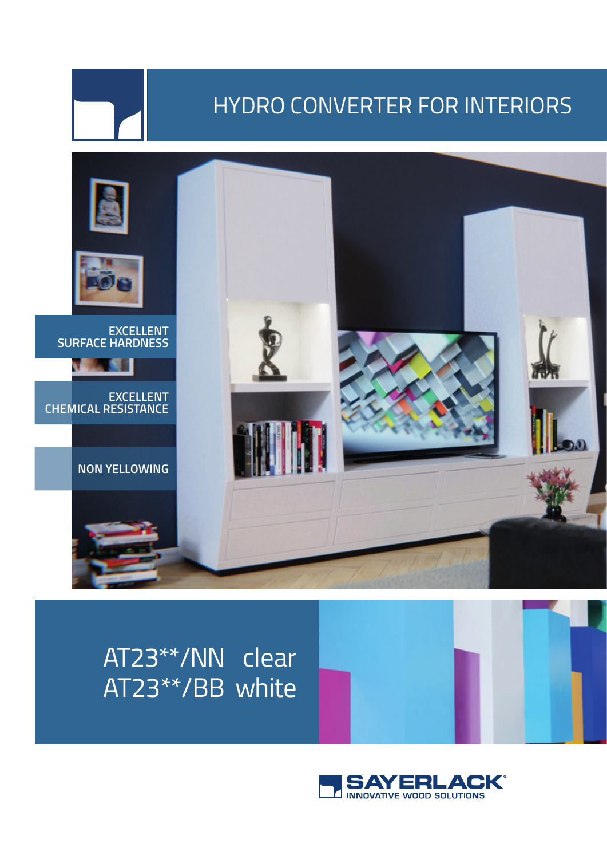## HYDRO CONVERTER FOR INTERIORS



## AT23\*\*/NN clear AT23\*\*/BB white